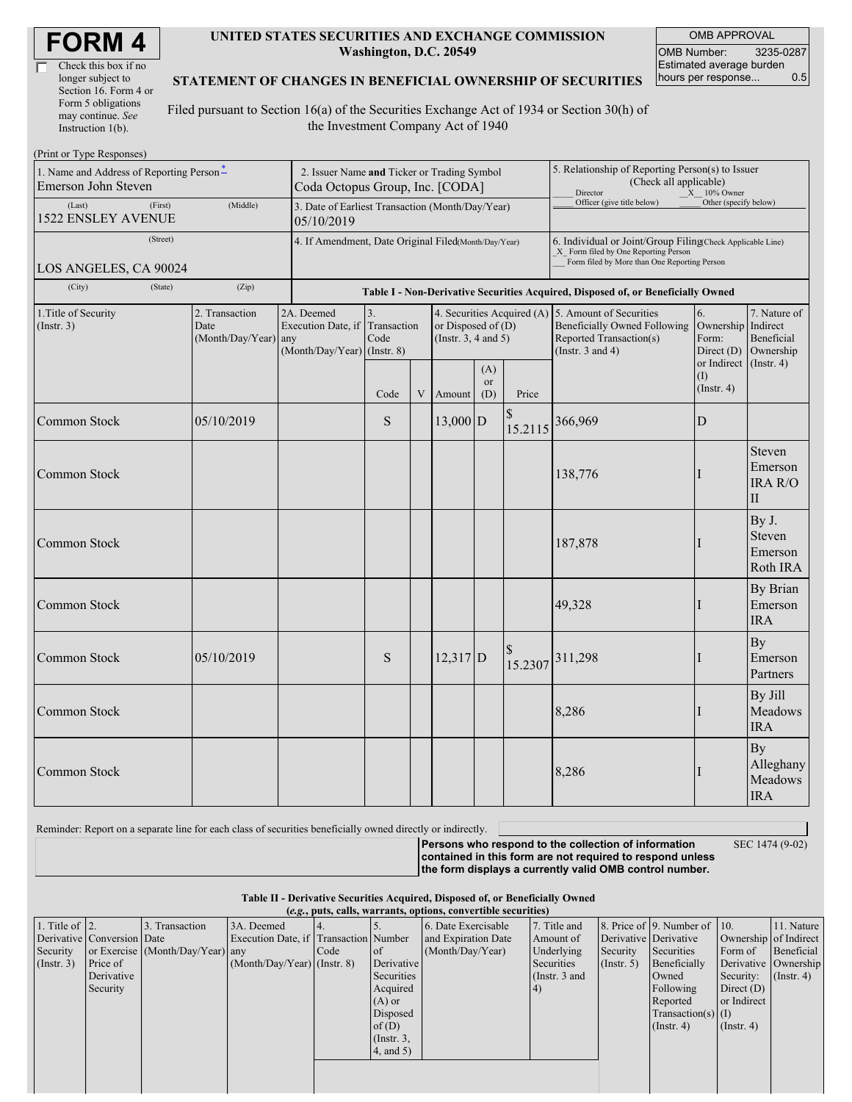| Check this box if no  |
|-----------------------|
| longer subject to     |
| Section 16. Form 4 or |
| Form 5 obligations    |
| may continue. See     |
| Instruction $1(b)$ .  |

#### **UNITED STATES SECURITIES AND EXCHANGE COMMISSION Washington, D.C. 20549**

OMB APPROVAL OMB Number: 3235-0287 Estimated average burden hours per response... 0.5

#### **STATEMENT OF CHANGES IN BENEFICIAL OWNERSHIP OF SECURITIES**

Filed pursuant to Section 16(a) of the Securities Exchange Act of 1934 or Section 30(h) of the Investment Company Act of 1940

| (Print or Type Responses)                                       |                                                                                                                                                                                                 |  |      |                                                                                                                                                                              |            |                                                                                                                                                    |                                                                                                            |                       |                                        |                                              |
|-----------------------------------------------------------------|-------------------------------------------------------------------------------------------------------------------------------------------------------------------------------------------------|--|------|------------------------------------------------------------------------------------------------------------------------------------------------------------------------------|------------|----------------------------------------------------------------------------------------------------------------------------------------------------|------------------------------------------------------------------------------------------------------------|-----------------------|----------------------------------------|----------------------------------------------|
| 1. Name and Address of Reporting Person*<br>Emerson John Steven | 2. Issuer Name and Ticker or Trading Symbol<br>Coda Octopus Group, Inc. [CODA]                                                                                                                  |  |      |                                                                                                                                                                              |            |                                                                                                                                                    | 5. Relationship of Reporting Person(s) to Issuer<br>(Check all applicable)<br>Director<br>$X = 10\%$ Owner |                       |                                        |                                              |
| (First)<br>(Last)<br><b>1522 ENSLEY AVENUE</b>                  | 3. Date of Earliest Transaction (Month/Day/Year)<br>05/10/2019                                                                                                                                  |  |      |                                                                                                                                                                              |            |                                                                                                                                                    | Officer (give title below)                                                                                 | Other (specify below) |                                        |                                              |
| (Street)<br>LOS ANGELES, CA 90024                               | 4. If Amendment, Date Original Filed(Month/Day/Year)                                                                                                                                            |  |      |                                                                                                                                                                              |            | 6. Individual or Joint/Group Filing(Check Applicable Line)<br>X Form filed by One Reporting Person<br>Form filed by More than One Reporting Person |                                                                                                            |                       |                                        |                                              |
| (City)<br>(State)                                               | (Zip)                                                                                                                                                                                           |  |      |                                                                                                                                                                              |            |                                                                                                                                                    | Table I - Non-Derivative Securities Acquired, Disposed of, or Beneficially Owned                           |                       |                                        |                                              |
| 1. Title of Security<br>(Insert. 3)                             | 3.<br>2. Transaction<br>2A. Deemed<br>Execution Date, if Transaction<br>or Disposed of $(D)$<br>Date<br>Code<br>(Month/Day/Year) any<br>(Instr. $3, 4$ and $5$ )<br>(Month/Day/Year) (Instr. 8) |  |      | 4. Securities Acquired (A) 5. Amount of Securities<br>6.<br><b>Beneficially Owned Following</b><br>Form:<br>Reported Transaction(s)<br>(Instr. $3$ and $4$ )<br>Direct $(D)$ |            | 7. Nature of<br>Ownership Indirect<br>Beneficial<br>Ownership                                                                                      |                                                                                                            |                       |                                        |                                              |
|                                                                 |                                                                                                                                                                                                 |  | Code | V                                                                                                                                                                            | Amount     | (A)<br>or<br>(D)                                                                                                                                   | Price                                                                                                      |                       | or Indirect<br>(1)<br>$($ Instr. 4 $)$ | (Insert, 4)                                  |
| Common Stock                                                    | 05/10/2019                                                                                                                                                                                      |  | S    |                                                                                                                                                                              | $13,000$ D |                                                                                                                                                    | \$<br>15.2115                                                                                              | 366,969               | D                                      |                                              |
| Common Stock                                                    |                                                                                                                                                                                                 |  |      |                                                                                                                                                                              |            |                                                                                                                                                    |                                                                                                            | 138,776               | I                                      | Steven<br>Emerson<br>IRA R/O<br>$\mathbf{I}$ |
| Common Stock                                                    |                                                                                                                                                                                                 |  |      |                                                                                                                                                                              |            |                                                                                                                                                    |                                                                                                            | 187,878               |                                        | By J.<br>Steven<br>Emerson<br>Roth IRA       |
| Common Stock                                                    |                                                                                                                                                                                                 |  |      |                                                                                                                                                                              |            |                                                                                                                                                    |                                                                                                            | 49,328                | I                                      | By Brian<br>Emerson<br><b>IRA</b>            |
| Common Stock                                                    | 05/10/2019                                                                                                                                                                                      |  | S    |                                                                                                                                                                              | $12,317$ D |                                                                                                                                                    |                                                                                                            | 15.2307 311,298       | I                                      | By<br>Emerson<br>Partners                    |
| Common Stock                                                    |                                                                                                                                                                                                 |  |      |                                                                                                                                                                              |            |                                                                                                                                                    |                                                                                                            | 8,286                 | I                                      | By Jill<br>Meadows<br><b>IRA</b>             |
| Common Stock                                                    |                                                                                                                                                                                                 |  |      |                                                                                                                                                                              |            |                                                                                                                                                    |                                                                                                            | 8,286                 |                                        | By<br>Alleghany<br>Meadows<br><b>IRA</b>     |

Reminder: Report on a separate line for each class of securities beneficially owned directly or indirectly.

SEC 1474 (9-02)

**Persons who respond to the collection of information contained in this form are not required to respond unless the form displays a currently valid OMB control number.**

**Table II - Derivative Securities Acquired, Disposed of, or Beneficially Owned (***e.g.***, puts, calls, warrants, options, convertible securities)**

| $(0.8)$ pats, cans, wai rains, options, convertible securities, |                            |                                  |                                       |      |                 |                     |                 |                       |                              |                               |            |
|-----------------------------------------------------------------|----------------------------|----------------------------------|---------------------------------------|------|-----------------|---------------------|-----------------|-----------------------|------------------------------|-------------------------------|------------|
| 1. Title of $\vert$ 2.                                          |                            | 3. Transaction                   | 3A. Deemed                            |      |                 | 6. Date Exercisable | 7. Title and    |                       | 8. Price of 9. Number of 10. |                               | 11. Nature |
|                                                                 | Derivative Conversion Date |                                  | Execution Date, if Transaction Number |      |                 | and Expiration Date | Amount of       | Derivative Derivative |                              | Ownership of Indirect         |            |
| Security                                                        |                            | or Exercise (Month/Day/Year) any |                                       | Code | <sub>of</sub>   | (Month/Day/Year)    | Underlying      | Security              | Securities                   | Form of                       | Beneficial |
| (Insert. 3)                                                     | Price of                   |                                  | $(Month/Day/Year)$ (Instr. 8)         |      | Derivative      |                     | Securities      | $($ Instr. 5 $)$      | Beneficially                 | Derivative Ownership          |            |
|                                                                 | Derivative                 |                                  |                                       |      | Securities      |                     | (Instr. $3$ and |                       | Owned                        | Security: $(\text{Instr. 4})$ |            |
|                                                                 | Security                   |                                  |                                       |      | Acquired        |                     | 4)              |                       | Following                    | Direct $(D)$                  |            |
|                                                                 |                            |                                  |                                       |      | $(A)$ or        |                     |                 |                       | Reported                     | or Indirect                   |            |
|                                                                 |                            |                                  |                                       |      | Disposed        |                     |                 |                       | $Transaction(s)$ (I)         |                               |            |
|                                                                 |                            |                                  |                                       |      | of $(D)$        |                     |                 |                       | $($ Instr. 4 $)$             | $($ Instr. 4 $)$              |            |
|                                                                 |                            |                                  |                                       |      | $($ Instr. 3,   |                     |                 |                       |                              |                               |            |
|                                                                 |                            |                                  |                                       |      | $4$ , and $5$ ) |                     |                 |                       |                              |                               |            |
|                                                                 |                            |                                  |                                       |      |                 |                     |                 |                       |                              |                               |            |
|                                                                 |                            |                                  |                                       |      |                 |                     |                 |                       |                              |                               |            |
|                                                                 |                            |                                  |                                       |      |                 |                     |                 |                       |                              |                               |            |